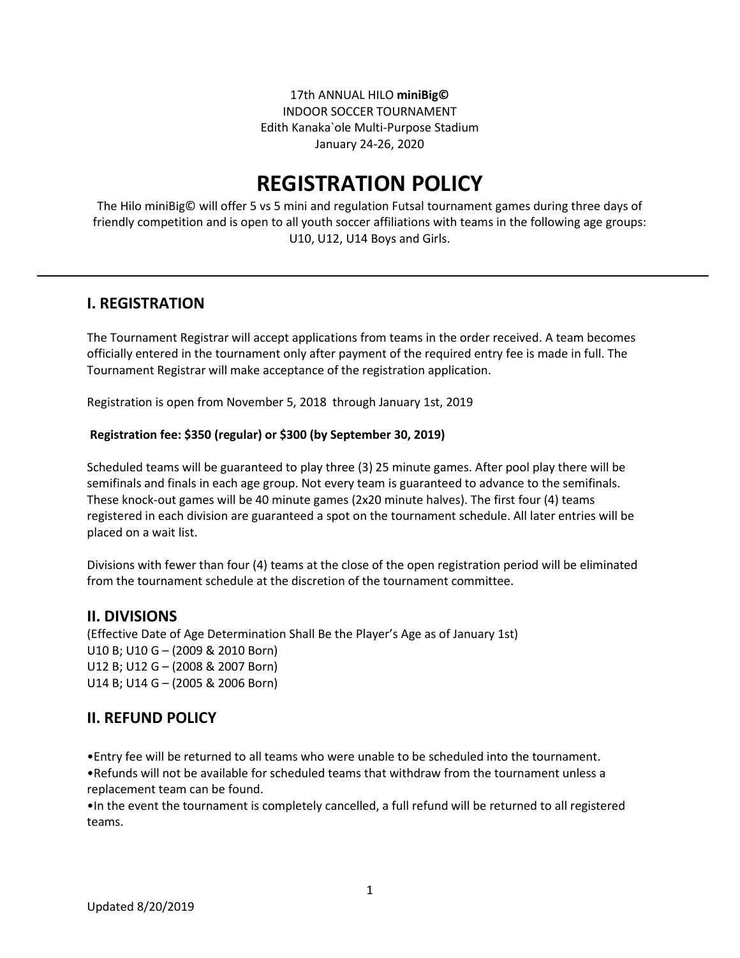17th ANNUAL HILO **miniBig©** INDOOR SOCCER TOURNAMENT Edith Kanaka`ole Multi-Purpose Stadium January 24-26, 2020

# **REGISTRATION POLICY**

The Hilo miniBig© will offer 5 vs 5 mini and regulation Futsal tournament games during three days of friendly competition and is open to all youth soccer affiliations with teams in the following age groups: U10, U12, U14 Boys and Girls.

#### **I. REGISTRATION**

The Tournament Registrar will accept applications from teams in the order received. A team becomes officially entered in the tournament only after payment of the required entry fee is made in full. The Tournament Registrar will make acceptance of the registration application.

Registration is open from November 5, 2018 through January 1st, 2019

#### **Registration fee: \$350 (regular) or \$300 (by September 30, 2019)**

Scheduled teams will be guaranteed to play three (3) 25 minute games. After pool play there will be semifinals and finals in each age group. Not every team is guaranteed to advance to the semifinals. These knock-out games will be 40 minute games (2x20 minute halves). The first four (4) teams registered in each division are guaranteed a spot on the tournament schedule. All later entries will be placed on a wait list.

Divisions with fewer than four (4) teams at the close of the open registration period will be eliminated from the tournament schedule at the discretion of the tournament committee.

#### **II. DIVISIONS**

(Effective Date of Age Determination Shall Be the Player's Age as of January 1st) U10 B; U10 G – (2009 & 2010 Born) U12 B; U12 G – (2008 & 2007 Born) U14 B; U14 G – (2005 & 2006 Born)

#### **II. REFUND POLICY**

•Entry fee will be returned to all teams who were unable to be scheduled into the tournament. •Refunds will not be available for scheduled teams that withdraw from the tournament unless a replacement team can be found.

•In the event the tournament is completely cancelled, a full refund will be returned to all registered teams.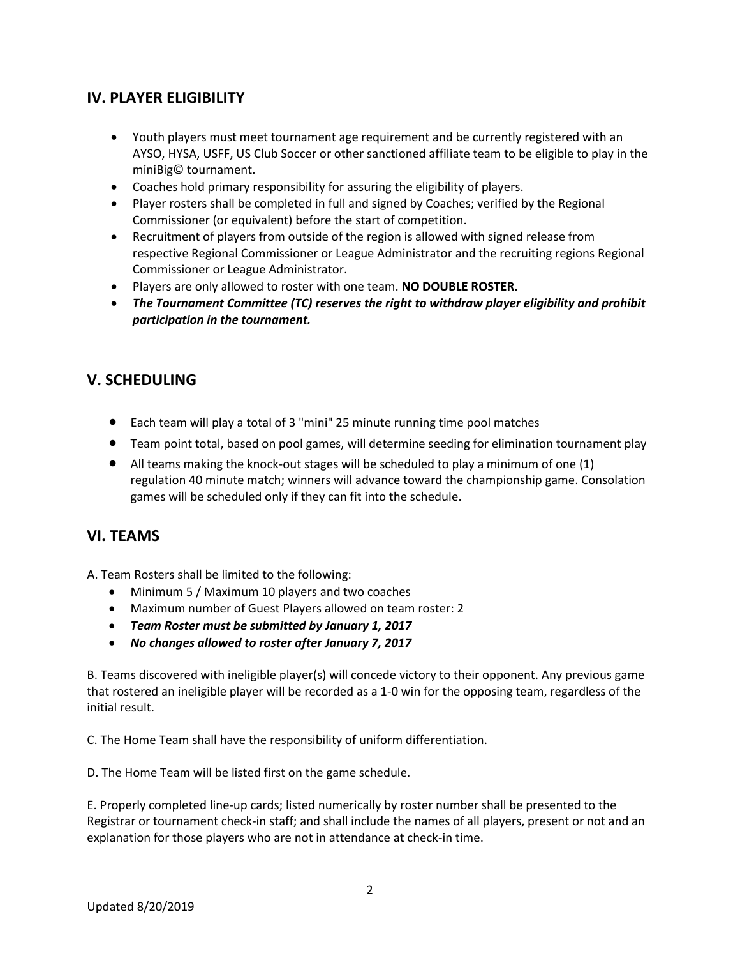## **IV. PLAYER ELIGIBILITY**

- Youth players must meet tournament age requirement and be currently registered with an AYSO, HYSA, USFF, US Club Soccer or other sanctioned affiliate team to be eligible to play in the miniBig© tournament.
- Coaches hold primary responsibility for assuring the eligibility of players.
- Player rosters shall be completed in full and signed by Coaches; verified by the Regional Commissioner (or equivalent) before the start of competition.
- Recruitment of players from outside of the region is allowed with signed release from respective Regional Commissioner or League Administrator and the recruiting regions Regional Commissioner or League Administrator.
- Players are only allowed to roster with one team. **NO DOUBLE ROSTER.**
- *The Tournament Committee (TC) reserves the right to withdraw player eligibility and prohibit participation in the tournament.*

## **V. SCHEDULING**

- Each team will play a total of 3 "mini" 25 minute running time pool matches
- Team point total, based on pool games, will determine seeding for elimination tournament play
- $\bullet$  All teams making the knock-out stages will be scheduled to play a minimum of one (1) regulation 40 minute match; winners will advance toward the championship game. Consolation games will be scheduled only if they can fit into the schedule.

### **VI. TEAMS**

A. Team Rosters shall be limited to the following:

- Minimum 5 / Maximum 10 players and two coaches
- Maximum number of Guest Players allowed on team roster: 2
- *Team Roster must be submitted by January 1, 2017*
- *No changes allowed to roster after January 7, 2017*

B. Teams discovered with ineligible player(s) will concede victory to their opponent. Any previous game that rostered an ineligible player will be recorded as a 1-0 win for the opposing team, regardless of the initial result.

C. The Home Team shall have the responsibility of uniform differentiation.

D. The Home Team will be listed first on the game schedule.

E. Properly completed line-up cards; listed numerically by roster number shall be presented to the Registrar or tournament check-in staff; and shall include the names of all players, present or not and an explanation for those players who are not in attendance at check-in time.